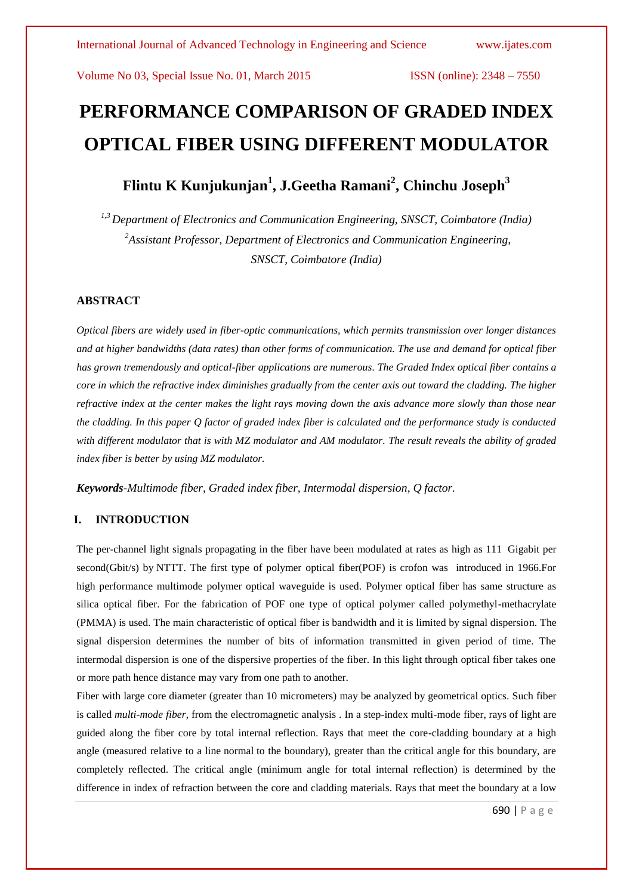# **PERFORMANCE COMPARISON OF GRADED INDEX OPTICAL FIBER USING DIFFERENT MODULATOR**

**Flintu K Kunjukunjan<sup>1</sup> , J.Geetha Ramani<sup>2</sup> , Chinchu Joseph<sup>3</sup>**

*1,3 Department of Electronics and Communication Engineering, SNSCT, Coimbatore (India) <sup>2</sup>Assistant Professor, Department of Electronics and Communication Engineering, SNSCT, Coimbatore (India)*

## **ABSTRACT**

*Optical fibers are widely used in fiber-optic communications, which permits transmission over longer distances and at higher bandwidths (data rates) than other forms of communication. The use and demand for optical fiber has grown tremendously and optical-fiber applications are numerous. The Graded Index optical fiber contains a core in which the refractive index diminishes gradually from the center axis out toward the cladding. The higher refractive index at the center makes the light rays moving down the axis advance more slowly than those near the cladding. In this paper Q factor of graded index fiber is calculated and the performance study is conducted with different modulator that is with MZ modulator and AM modulator. The result reveals the ability of graded index fiber is better by using MZ modulator.*

*Keywords-Multimode fiber, Graded index fiber, Intermodal dispersion, Q factor.*

# **I. INTRODUCTION**

The per-channel light signals propagating in the fiber have been modulated at rates as high as 111 Gigabit per second(Gbit/s) by NTTT. The first type of polymer optical fiber(POF) is crofon was introduced in 1966.For high performance multimode polymer optical waveguide is used. Polymer optical fiber has same structure as silica optical fiber. For the fabrication of POF one type of optical polymer called polymethyl-methacrylate (PMMA) is used. The main characteristic of optical fiber is bandwidth and it is limited by signal dispersion. The signal dispersion determines the number of bits of information transmitted in given period of time. The intermodal dispersion is one of the dispersive properties of the fiber. In this light through optical fiber takes one or more path hence distance may vary from one path to another.

Fiber with large core diameter (greater than 10 micrometers) may be analyzed by [geometrical optics.](http://en.wikipedia.org/wiki/Geometrical_optics) Such fiber is called *multi-mode fiber*, from the electromagnetic analysis . In a step-index multi-mode fiber, [rays](http://en.wikipedia.org/wiki/Ray_(optics)) of light are guided along the fiber core by total internal reflection. Rays that meet the core-cladding boundary at a high angle (measured relative to a line [normal](http://en.wikipedia.org/wiki/Surface_normal) to the boundary), greater than the [critical angle](http://en.wikipedia.org/wiki/Critical_angle_(optics)) for this boundary, are completely reflected. The critical angle (minimum angle for total internal reflection) is determined by the difference in index of refraction between the core and cladding materials. Rays that meet the boundary at a low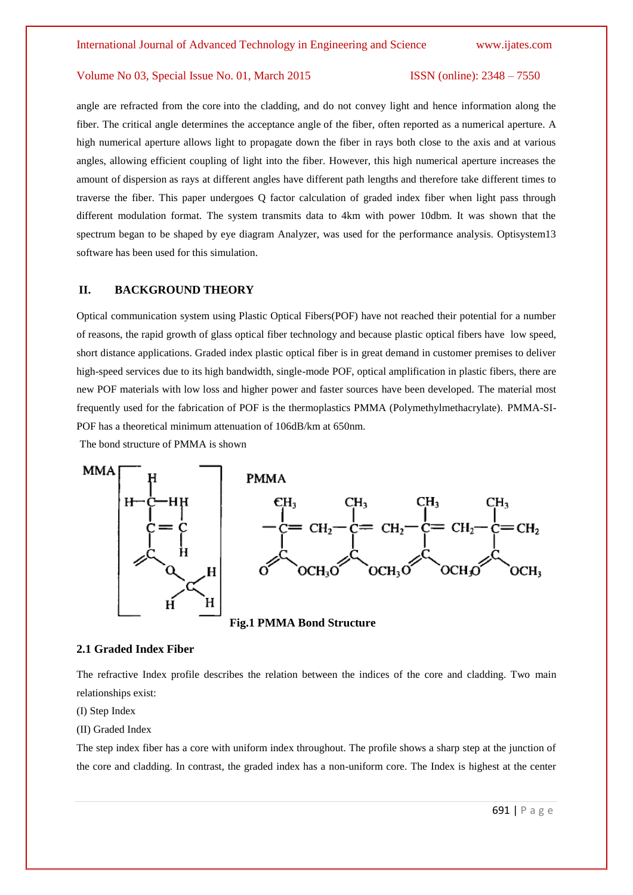angle are refracted from the [core](http://en.wikipedia.org/wiki/Core_(optical_fiber)) into the cladding, and do not convey light and hence information along the fiber. The critical angle determines the [acceptance angle](http://en.wikipedia.org/wiki/Guided_ray) of the fiber, often reported as a [numerical aperture.](http://en.wikipedia.org/wiki/Numerical_aperture) A high numerical aperture allows light to propagate down the fiber in rays both close to the axis and at various angles, allowing efficient coupling of light into the fiber. However, this high numerical aperture increases the amount of [dispersion](http://en.wikipedia.org/wiki/Dispersion_(optics)) as rays at different angles have different [path lengths](http://en.wikipedia.org/wiki/Optical_path_length) and therefore take different times to traverse the fiber. This paper undergoes Q factor calculation of graded index fiber when light pass through different modulation format. The system transmits data to 4km with power 10dbm. It was shown that the spectrum began to be shaped by eye diagram Analyzer, was used for the performance analysis. Optisystem13 software has been used for this simulation.

#### **II. BACKGROUND THEORY**

Optical communication system using Plastic Optical Fibers(POF) have not reached their potential for a number of reasons, the rapid growth of glass optical fiber technology and because plastic optical fibers have low speed, short distance applications. Graded index plastic optical fiber is in great demand in customer premises to deliver high-speed services due to its high bandwidth, single-mode POF, optical amplification in plastic fibers, there are new POF materials with low loss and higher power and faster sources have been developed. The material most frequently used for the fabrication of POF is the thermoplastics PMMA (Polymethylmethacrylate). PMMA-SI-POF has a theoretical minimum attenuation of 106dB/km at 650nm.

The bond structure of PMMA is shown



**Fig.1 PMMA Bond Structure**

#### **2.1 Graded Index Fiber**

The refractive Index profile describes the relation between the indices of the core and cladding. Two main relationships exist:

(I) Step Index

(II) Graded Index

The step index fiber has a core with uniform index throughout. The profile shows a sharp step at the junction of the core and cladding. In contrast, the graded index has a non-uniform core. The Index is highest at the center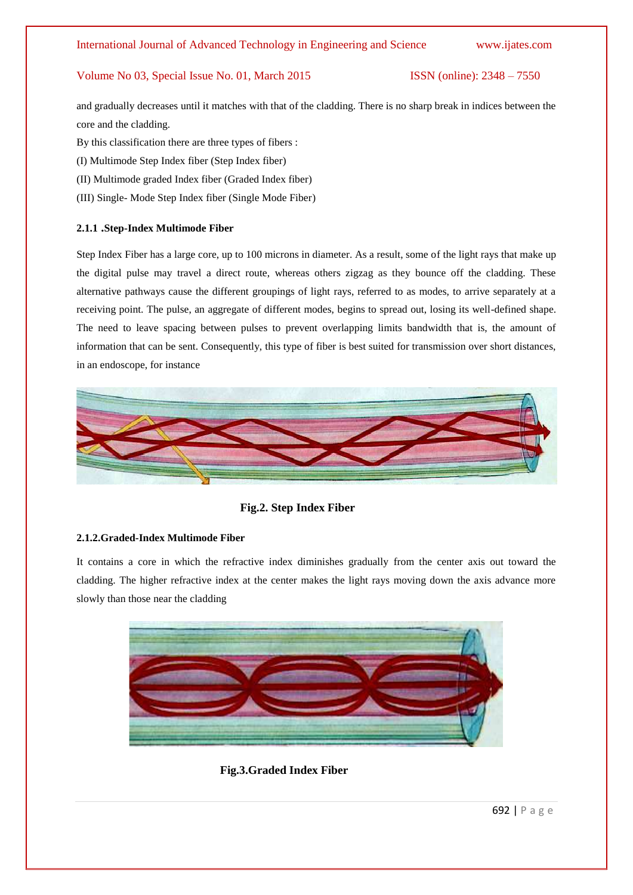and gradually decreases until it matches with that of the cladding. There is no sharp break in indices between the core and the cladding.

- By this classification there are three types of fibers :
- (I) Multimode Step Index fiber (Step Index fiber)
- (II) Multimode graded Index fiber (Graded Index fiber)
- (III) Single- Mode Step Index fiber (Single Mode Fiber)

#### **2.1.1 .Step-Index Multimode Fiber**

Step Index Fiber has a large core, up to 100 microns in diameter. As a result, some of the light rays that make up the digital pulse may travel a direct route, whereas others zigzag as they bounce off the cladding. These alternative pathways cause the different groupings of light rays, referred to as modes, to arrive separately at a receiving point. The pulse, an aggregate of different modes, begins to spread out, losing its well-defined shape. The need to leave spacing between pulses to prevent overlapping limits bandwidth that is, the amount of information that can be sent. Consequently, this type of fiber is best suited for transmission over short distances, in an endoscope, for instance



 **Fig.2. Step Index Fiber**

#### **2.1.2.Graded-Index Multimode Fiber**

It contains a core in which the refractive index diminishes gradually from the center axis out toward the cladding. The higher refractive index at the center makes the light rays moving down the axis advance more slowly than those near the cladding



 **Fig.3.Graded Index Fiber**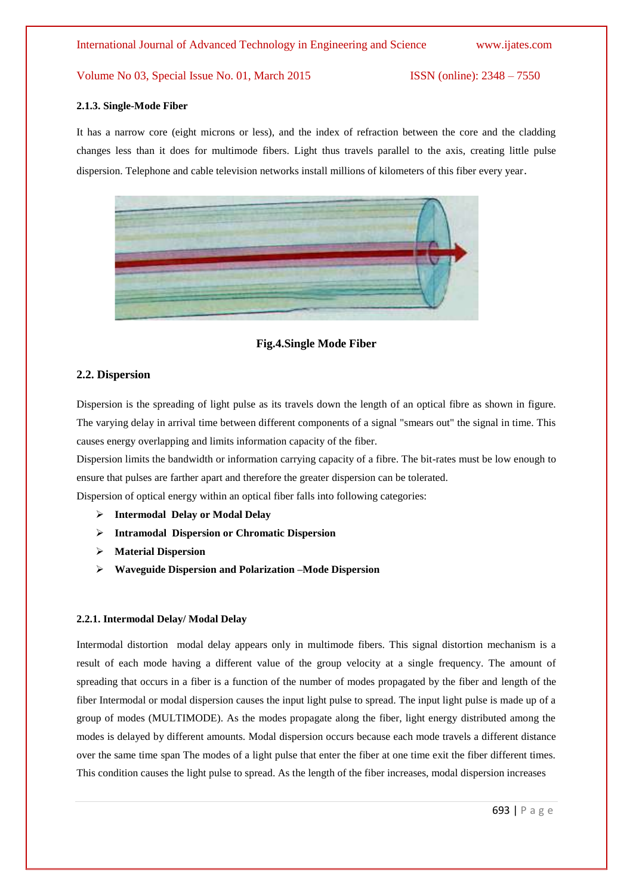#### **2.1.3. Single-Mode Fiber**

It has a narrow core (eight microns or less), and the index of refraction between the core and the cladding changes less than it does for multimode fibers. Light thus travels parallel to the axis, creating little pulse dispersion. Telephone and cable television networks install millions of kilometers of this fiber every year.



#### **Fig.4.Single Mode Fiber**

#### **2.2. Dispersion**

Dispersion is the spreading of light pulse as its travels down the length of an optical fibre as shown in figure. The varying delay in arrival time between different components of a signal "smears out" the signal in time. This causes energy overlapping and limits information capacity of the fiber.

Dispersion limits the bandwidth or information carrying capacity of a fibre. The bit-rates must be low enough to ensure that pulses are farther apart and therefore the greater dispersion can be tolerated.

Dispersion of optical energy within an optical fiber falls into following categories:

- **Intermodal Delay or Modal Delay**
- **Intramodal Dispersion or Chromatic Dispersion**
- **Material Dispersion**
- **Waveguide Dispersion and Polarization –Mode Dispersion**

#### **2.2.1. Intermodal Delay/ Modal Delay**

Intermodal distortion modal delay appears only in multimode fibers. This signal distortion mechanism is a result of each mode having a different value of the group velocity at a single frequency. The amount of spreading that occurs in a fiber is a function of the number of modes propagated by the fiber and length of the fiber Intermodal or modal dispersion causes the input light pulse to spread. The input light pulse is made up of a group of modes (MULTIMODE). As the modes propagate along the fiber, light energy distributed among the modes is delayed by different amounts. Modal dispersion occurs because each mode travels a different distance over the same time span The modes of a light pulse that enter the fiber at one time exit the fiber different times. This condition causes the light pulse to spread. As the length of the fiber increases, modal dispersion increases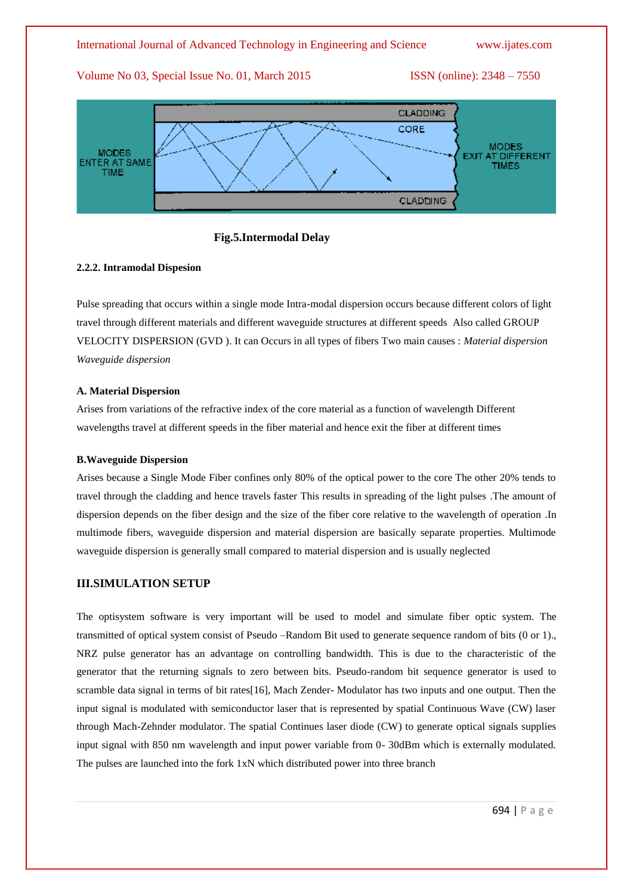

 **Fig.5.Intermodal Delay**

#### **2.2.2. Intramodal Dispesion**

Pulse spreading that occurs within a single mode Intra-modal dispersion occurs because different colors of light travel through different materials and different waveguide structures at different speeds Also called GROUP VELOCITY DISPERSION (GVD ). It can Occurs in all types of fibers Two main causes : *Material dispersion Waveguide dispersion* 

#### **A. Material Dispersion**

Arises from variations of the refractive index of the core material as a function of wavelength Different wavelengths travel at different speeds in the fiber material and hence exit the fiber at different times

#### **B.Waveguide Dispersion**

Arises because a Single Mode Fiber confines only 80% of the optical power to the core The other 20% tends to travel through the cladding and hence travels faster This results in spreading of the light pulses .The amount of dispersion depends on the fiber design and the size of the fiber core relative to the wavelength of operation .In multimode fibers, waveguide dispersion and material dispersion are basically separate properties. Multimode waveguide dispersion is generally small compared to material dispersion and is usually neglected

### **III.SIMULATION SETUP**

The optisystem software is very important will be used to model and simulate fiber optic system. The transmitted of optical system consist of Pseudo –Random Bit used to generate sequence random of bits (0 or 1)., NRZ pulse generator has an advantage on controlling bandwidth. This is due to the characteristic of the generator that the returning signals to zero between bits. Pseudo-random bit sequence generator is used to scramble data signal in terms of bit rates[16], Mach Zender- Modulator has two inputs and one output. Then the input signal is modulated with semiconductor laser that is represented by spatial Continuous Wave (CW) laser through Mach-Zehnder modulator. The spatial Continues laser diode (CW) to generate optical signals supplies input signal with 850 nm wavelength and input power variable from 0- 30dBm which is externally modulated. The pulses are launched into the fork 1xN which distributed power into three branch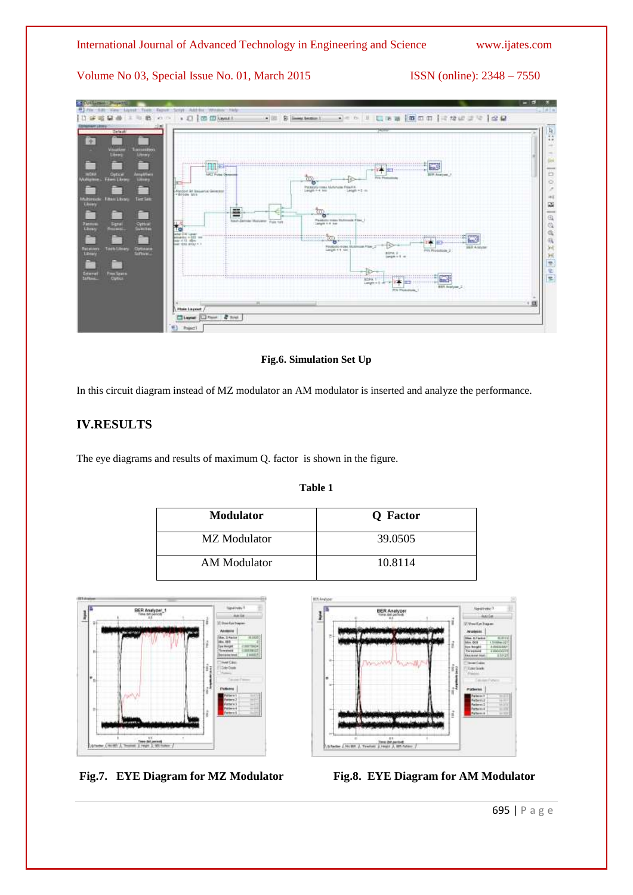

**Fig.6. Simulation Set Up**

In this circuit diagram instead of MZ modulator an AM modulator is inserted and analyze the performance.

# **IV.RESULTS**

The eye diagrams and results of maximum Q. factor is shown in the figure.

| ш |  |
|---|--|
|   |  |

| <b>Modulator</b> | Q Factor |
|------------------|----------|
| MZ Modulator     | 39.0505  |
| AM Modulator     | 10.8114  |